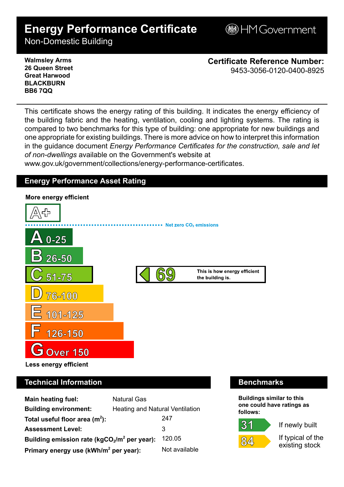# **Energy Performance Certificate**

**BHM Government** 

Non-Domestic Building

**Walmsley Arms 26 Queen Street Great Harwood BLACKBURN BB6 7QQ**

**Certificate Reference Number:** 9453-3056-0120-0400-8925

This certificate shows the energy rating of this building. It indicates the energy efficiency of the building fabric and the heating, ventilation, cooling and lighting systems. The rating is compared to two benchmarks for this type of building: one appropriate for new buildings and one appropriate for existing buildings. There is more advice on how to interpret this information in the guidance document *Energy Performance Certificates for the construction, sale and let of non-dwellings* available on the Government's website at

www.gov.uk/government/collections/energy-performance-certificates.

# **Energy Performance Asset Rating**



# **Technical Information Benchmarks**

| Main heating fuel:                                | <b>Natural Gas</b>              |               |
|---------------------------------------------------|---------------------------------|---------------|
| <b>Building environment:</b>                      | Heating and Natural Ventilation |               |
| Total useful floor area $(m2)$ :                  |                                 | 247           |
| <b>Assessment Level:</b>                          |                                 | 3             |
| Building emission rate ( $kgCO2/m2$ per year):    |                                 | 120.05        |
| Primary energy use (kWh/m <sup>2</sup> per year): |                                 | Not available |

**Buildings similar to this one could have ratings as follows:**

If newly built



 $31$ 

If typical of the existing stock